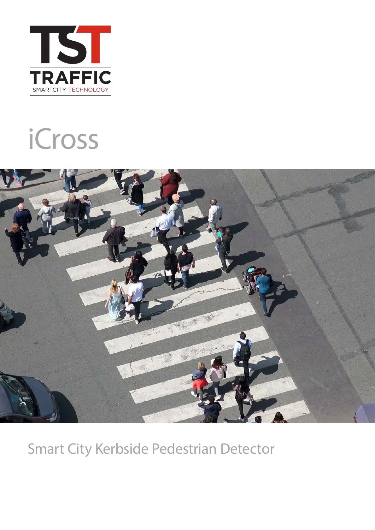

# iCross



Smart City Kerbside Pedestrian Detector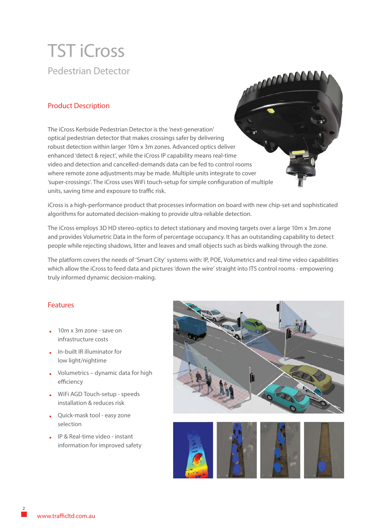## TST iCross Pedestrian Detector

#### Product Description

The iCross Kerbside Pedestrian Detector is the 'next-generation' optical pedestrian detector that makes crossings safer by delivering robust detection within larger 10m x 3m zones. Advanced optics deliver enhanced 'detect & reject', while the iCross IP capability means real-time video and detection and cancelled-demands data can be fed to control rooms where remote zone adjustments may be made. Multiple units integrate to cover 'super-crossings'. The iCross uses WiFi touch-setup for simple configuration of multiple units, saving time and exposure to traffic risk.

iCross is a high-performance product that processes information on board with new chip-set and sophisticated algorithms for automated decision-making to provide ultra-reliable detection.

The iCross employs 3D HD stereo-optics to detect stationary and moving targets over a large 10m x 3m zone and provides Volumetric Data in the form of percentage occupancy. It has an outstanding capability to detect people while rejecting shadows, litter and leaves and small objects such as birds walking through the zone.

The platform covers the needs of 'Smart City' systems with: IP, POE, Volumetrics and real-time video capabilities which allow the iCross to feed data and pictures 'down the wire' straight into ITS control rooms - empowering truly informed dynamic decision-making.

#### Features

- **.** 10m x 3m zone save on infrastructure costs
- **.** In-built IR illuminator for low light/nightime
- **.** Volumetrics dynamic data for high efficiency
- **.** WiFi AGD Touch-setup speeds installation & reduces risk
- **.** Quick-mask tool easy zone selection
- **.** IP & Real-time video instant information for improved safety



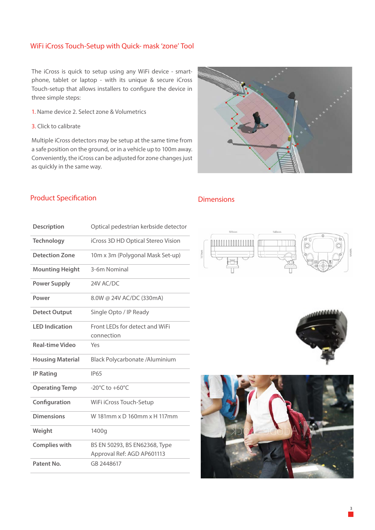#### WiFi iCross Touch-Setup with Quick- mask 'zone' Tool

The iCross is quick to setup using any WiFi device - smartphone, tablet or laptop - with its unique & secure iCross Touch-setup that allows installers to configure the device in three simple steps:

- 1. Name device 2. Select zone & Volumetrics
- 3. Click to calibrate

Multiple iCross detectors may be setup at the same time from a safe position on the ground, or in a vehicle up to 100m away. Conveniently, the iCross can be adjusted for zone changes just as quickly in the same way.



#### Product Specification

#### Dimensions

| <b>Description</b>      | Optical pedestrian kerbside detector                        |
|-------------------------|-------------------------------------------------------------|
| <b>Technology</b>       | iCross 3D HD Optical Stereo Vision                          |
| <b>Detection Zone</b>   | 10m x 3m (Polygonal Mask Set-up)                            |
| <b>Mounting Height</b>  | 3-6m Nominal                                                |
| <b>Power Supply</b>     | 24V AC/DC                                                   |
| Power                   | 8.0W @ 24V AC/DC (330mA)                                    |
| <b>Detect Output</b>    | Single Opto / IP Ready                                      |
| <b>LED Indication</b>   | Front LEDs for detect and WiFi<br>connection                |
| <b>Real-time Video</b>  | Yes                                                         |
| <b>Housing Material</b> | Black Polycarbonate /Aluminium                              |
| <b>IP Rating</b>        | <b>IP65</b>                                                 |
| <b>Operating Temp</b>   | $-20^{\circ}$ C to $+60^{\circ}$ C                          |
| Configuration           | WiFi iCross Touch-Setup                                     |
| <b>Dimensions</b>       | W 181mm x D 160mm x H 117mm                                 |
| Weight                  | 1400g                                                       |
| <b>Complies with</b>    | BS EN 50293, BS EN62368, Type<br>Approval Ref: AGD AP601113 |
| Patent No.              | GB 2448617                                                  |